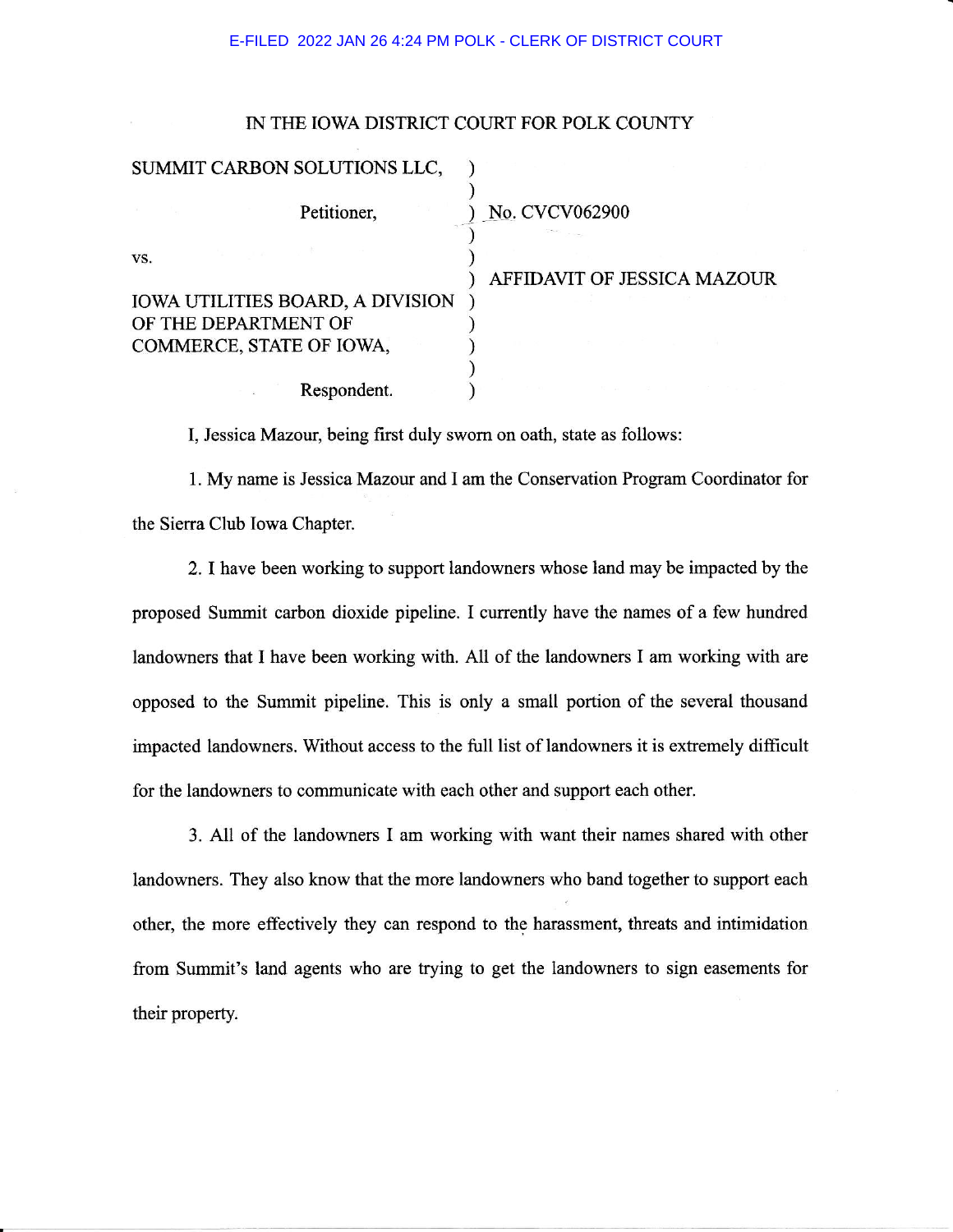## E-FILED 2022 JAN 26 4:24 PM POLK - CLERK OF DISTRICT COURT

## IN THE IOWA DISTRICT COURT FOR POLK COUNTY

|                      | SUMMIT CARBON SOLUTIONS LLC,            |                                    |
|----------------------|-----------------------------------------|------------------------------------|
|                      | Petitioner,                             | No. CVCV062900                     |
| VS.                  | <b>IOWA UTILITIES BOARD, A DIVISION</b> | <b>AFFIDAVIT OF JESSICA MAZOUR</b> |
| OF THE DEPARTMENT OF | COMMERCE, STATE OF IOWA,                |                                    |
|                      | Respondent.                             |                                    |

I, Jessica Mazour, being first duly swom on oath, state as follows:

1. My name is Jessica Mazour and I am the Conservation Program Coordinator for the Sierra Club Iowa Chapter.

2. I have been working to support landowners whose land may be impacted by the proposed Summit carbon dioxide pipeline. I currently have the names of a few hundred landowners that I have been working with. All of the landowners I am working with are opposed to the Summit pipeline. This is only a small portion of the several thousand impacted landowners. Without access to the full list of landowners it is extremely difficult for the landowners to communicate with each other and support each other.

3. All of the landowners I am working with want their names shared with other landowners. They also know that the more landowners who band together to support each other, the more effectively they can respond to the harassment, threats and intimidation from Summit's land agents who are trying to get the landowners to sign easements for their property.